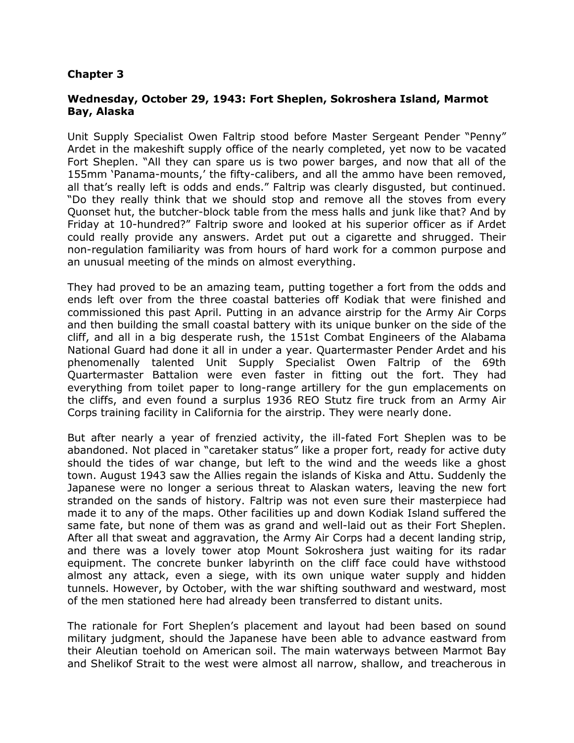### **Chapter 3**

### **Wednesday, October 29, 1943: Fort Sheplen, Sokroshera Island, Marmot Bay, Alaska**

Unit Supply Specialist Owen Faltrip stood before Master Sergeant Pender "Penny" Ardet in the makeshift supply office of the nearly completed, yet now to be vacated Fort Sheplen. "All they can spare us is two power barges, and now that all of the 155mm 'Panama-mounts,' the fifty-calibers, and all the ammo have been removed, all that's really left is odds and ends." Faltrip was clearly disgusted, but continued. "Do they really think that we should stop and remove all the stoves from every Quonset hut, the butcher-block table from the mess halls and junk like that? And by Friday at 10-hundred?" Faltrip swore and looked at his superior officer as if Ardet could really provide any answers. Ardet put out a cigarette and shrugged. Their non-regulation familiarity was from hours of hard work for a common purpose and an unusual meeting of the minds on almost everything.

They had proved to be an amazing team, putting together a fort from the odds and ends left over from the three coastal batteries off Kodiak that were finished and commissioned this past April. Putting in an advance airstrip for the Army Air Corps and then building the small coastal battery with its unique bunker on the side of the cliff, and all in a big desperate rush, the 151st Combat Engineers of the Alabama National Guard had done it all in under a year. Quartermaster Pender Ardet and his phenomenally talented Unit Supply Specialist Owen Faltrip of the 69th Quartermaster Battalion were even faster in fitting out the fort. They had everything from toilet paper to long-range artillery for the gun emplacements on the cliffs, and even found a surplus 1936 REO Stutz fire truck from an Army Air Corps training facility in California for the airstrip. They were nearly done.

But after nearly a year of frenzied activity, the ill-fated Fort Sheplen was to be abandoned. Not placed in "caretaker status" like a proper fort, ready for active duty should the tides of war change, but left to the wind and the weeds like a ghost town. August 1943 saw the Allies regain the islands of Kiska and Attu. Suddenly the Japanese were no longer a serious threat to Alaskan waters, leaving the new fort stranded on the sands of history. Faltrip was not even sure their masterpiece had made it to any of the maps. Other facilities up and down Kodiak Island suffered the same fate, but none of them was as grand and well-laid out as their Fort Sheplen. After all that sweat and aggravation, the Army Air Corps had a decent landing strip, and there was a lovely tower atop Mount Sokroshera just waiting for its radar equipment. The concrete bunker labyrinth on the cliff face could have withstood almost any attack, even a siege, with its own unique water supply and hidden tunnels. However, by October, with the war shifting southward and westward, most of the men stationed here had already been transferred to distant units.

The rationale for Fort Sheplen's placement and layout had been based on sound military judgment, should the Japanese have been able to advance eastward from their Aleutian toehold on American soil. The main waterways between Marmot Bay and Shelikof Strait to the west were almost all narrow, shallow, and treacherous in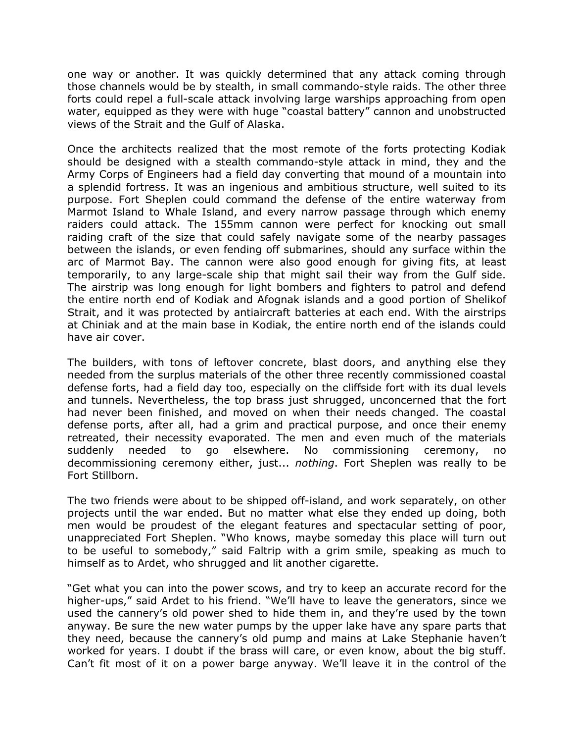one way or another. It was quickly determined that any attack coming through those channels would be by stealth, in small commando-style raids. The other three forts could repel a full-scale attack involving large warships approaching from open water, equipped as they were with huge "coastal battery" cannon and unobstructed views of the Strait and the Gulf of Alaska.

Once the architects realized that the most remote of the forts protecting Kodiak should be designed with a stealth commando-style attack in mind, they and the Army Corps of Engineers had a field day converting that mound of a mountain into a splendid fortress. It was an ingenious and ambitious structure, well suited to its purpose. Fort Sheplen could command the defense of the entire waterway from Marmot Island to Whale Island, and every narrow passage through which enemy raiders could attack. The 155mm cannon were perfect for knocking out small raiding craft of the size that could safely navigate some of the nearby passages between the islands, or even fending off submarines, should any surface within the arc of Marmot Bay. The cannon were also good enough for giving fits, at least temporarily, to any large-scale ship that might sail their way from the Gulf side. The airstrip was long enough for light bombers and fighters to patrol and defend the entire north end of Kodiak and Afognak islands and a good portion of Shelikof Strait, and it was protected by antiaircraft batteries at each end. With the airstrips at Chiniak and at the main base in Kodiak, the entire north end of the islands could have air cover.

The builders, with tons of leftover concrete, blast doors, and anything else they needed from the surplus materials of the other three recently commissioned coastal defense forts, had a field day too, especially on the cliffside fort with its dual levels and tunnels. Nevertheless, the top brass just shrugged, unconcerned that the fort had never been finished, and moved on when their needs changed. The coastal defense ports, after all, had a grim and practical purpose, and once their enemy retreated, their necessity evaporated. The men and even much of the materials suddenly needed to go elsewhere. No commissioning ceremony, no decommissioning ceremony either, just... *nothing*. Fort Sheplen was really to be Fort Stillborn.

The two friends were about to be shipped off-island, and work separately, on other projects until the war ended. But no matter what else they ended up doing, both men would be proudest of the elegant features and spectacular setting of poor, unappreciated Fort Sheplen. "Who knows, maybe someday this place will turn out to be useful to somebody," said Faltrip with a grim smile, speaking as much to himself as to Ardet, who shrugged and lit another cigarette.

"Get what you can into the power scows, and try to keep an accurate record for the higher-ups," said Ardet to his friend. "We'll have to leave the generators, since we used the cannery's old power shed to hide them in, and they're used by the town anyway. Be sure the new water pumps by the upper lake have any spare parts that they need, because the cannery's old pump and mains at Lake Stephanie haven't worked for years. I doubt if the brass will care, or even know, about the big stuff. Can't fit most of it on a power barge anyway. We'll leave it in the control of the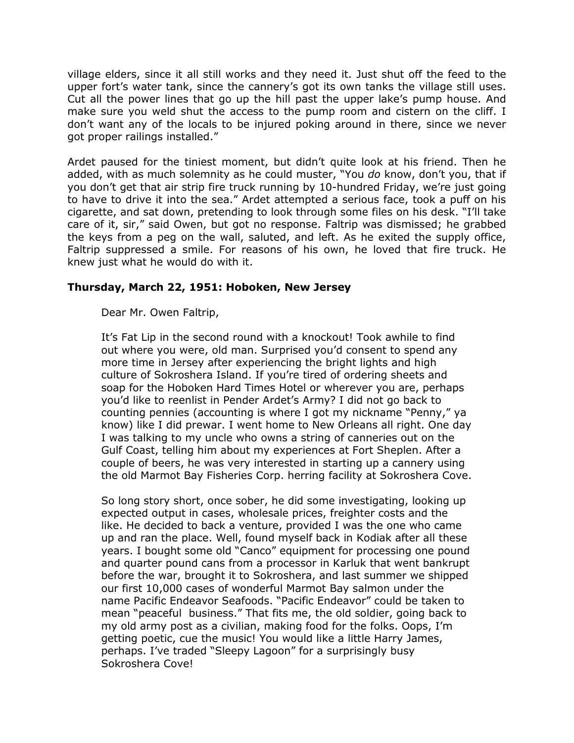village elders, since it all still works and they need it. Just shut off the feed to the upper fort's water tank, since the cannery's got its own tanks the village still uses. Cut all the power lines that go up the hill past the upper lake's pump house. And make sure you weld shut the access to the pump room and cistern on the cliff. I don't want any of the locals to be injured poking around in there, since we never got proper railings installed."

Ardet paused for the tiniest moment, but didn't quite look at his friend. Then he added, with as much solemnity as he could muster, "You *do* know, don't you, that if you don't get that air strip fire truck running by 10-hundred Friday, we're just going to have to drive it into the sea." Ardet attempted a serious face, took a puff on his cigarette, and sat down, pretending to look through some files on his desk. "I'll take care of it, sir," said Owen, but got no response. Faltrip was dismissed; he grabbed the keys from a peg on the wall, saluted, and left. As he exited the supply office, Faltrip suppressed a smile. For reasons of his own, he loved that fire truck. He knew just what he would do with it.

### **Thursday, March 22, 1951: Hoboken, New Jersey**

Dear Mr. Owen Faltrip,

It's Fat Lip in the second round with a knockout! Took awhile to find out where you were, old man. Surprised you'd consent to spend any more time in Jersey after experiencing the bright lights and high culture of Sokroshera Island. If you're tired of ordering sheets and soap for the Hoboken Hard Times Hotel or wherever you are, perhaps you'd like to reenlist in Pender Ardet's Army? I did not go back to counting pennies (accounting is where I got my nickname "Penny," ya know) like I did prewar. I went home to New Orleans all right. One day I was talking to my uncle who owns a string of canneries out on the Gulf Coast, telling him about my experiences at Fort Sheplen. After a couple of beers, he was very interested in starting up a cannery using the old Marmot Bay Fisheries Corp. herring facility at Sokroshera Cove.

So long story short, once sober, he did some investigating, looking up expected output in cases, wholesale prices, freighter costs and the like. He decided to back a venture, provided I was the one who came up and ran the place. Well, found myself back in Kodiak after all these years. I bought some old "Canco" equipment for processing one pound and quarter pound cans from a processor in Karluk that went bankrupt before the war, brought it to Sokroshera, and last summer we shipped our first 10,000 cases of wonderful Marmot Bay salmon under the name Pacific Endeavor Seafoods. "Pacific Endeavor" could be taken to mean "peaceful business." That fits me, the old soldier, going back to my old army post as a civilian, making food for the folks. Oops, I'm getting poetic, cue the music! You would like a little Harry James, perhaps. I've traded "Sleepy Lagoon" for a surprisingly busy Sokroshera Cove!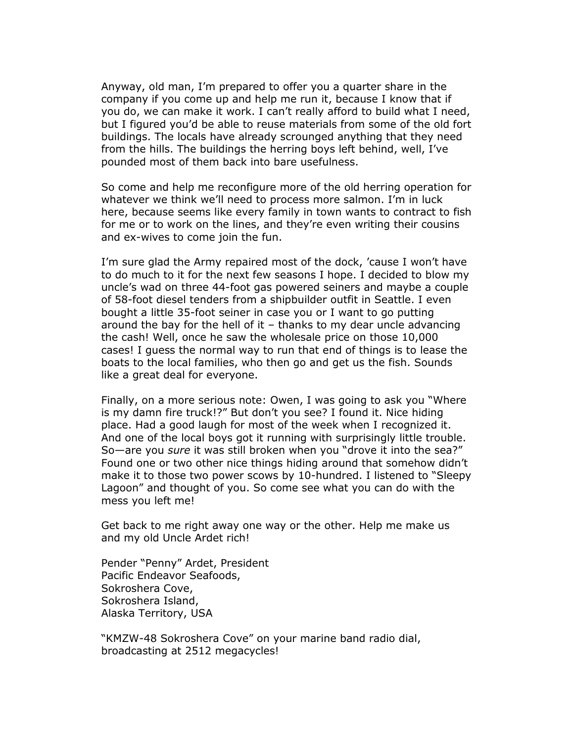Anyway, old man, I'm prepared to offer you a quarter share in the company if you come up and help me run it, because I know that if you do, we can make it work. I can't really afford to build what I need, but I figured you'd be able to reuse materials from some of the old fort buildings. The locals have already scrounged anything that they need from the hills. The buildings the herring boys left behind, well, I've pounded most of them back into bare usefulness.

So come and help me reconfigure more of the old herring operation for whatever we think we'll need to process more salmon. I'm in luck here, because seems like every family in town wants to contract to fish for me or to work on the lines, and they're even writing their cousins and ex-wives to come join the fun.

I'm sure glad the Army repaired most of the dock, 'cause I won't have to do much to it for the next few seasons I hope. I decided to blow my uncle's wad on three 44-foot gas powered seiners and maybe a couple of 58-foot diesel tenders from a shipbuilder outfit in Seattle. I even bought a little 35-foot seiner in case you or I want to go putting around the bay for the hell of it – thanks to my dear uncle advancing the cash! Well, once he saw the wholesale price on those 10,000 cases! I guess the normal way to run that end of things is to lease the boats to the local families, who then go and get us the fish. Sounds like a great deal for everyone.

Finally, on a more serious note: Owen, I was going to ask you "Where is my damn fire truck!?" But don't you see? I found it. Nice hiding place. Had a good laugh for most of the week when I recognized it. And one of the local boys got it running with surprisingly little trouble. So—are you *sure* it was still broken when you "drove it into the sea?" Found one or two other nice things hiding around that somehow didn't make it to those two power scows by 10-hundred. I listened to "Sleepy Lagoon" and thought of you. So come see what you can do with the mess you left me!

Get back to me right away one way or the other. Help me make us and my old Uncle Ardet rich!

Pender "Penny" Ardet, President Pacific Endeavor Seafoods, Sokroshera Cove, Sokroshera Island, Alaska Territory, USA

"KMZW-48 Sokroshera Cove" on your marine band radio dial, broadcasting at 2512 megacycles!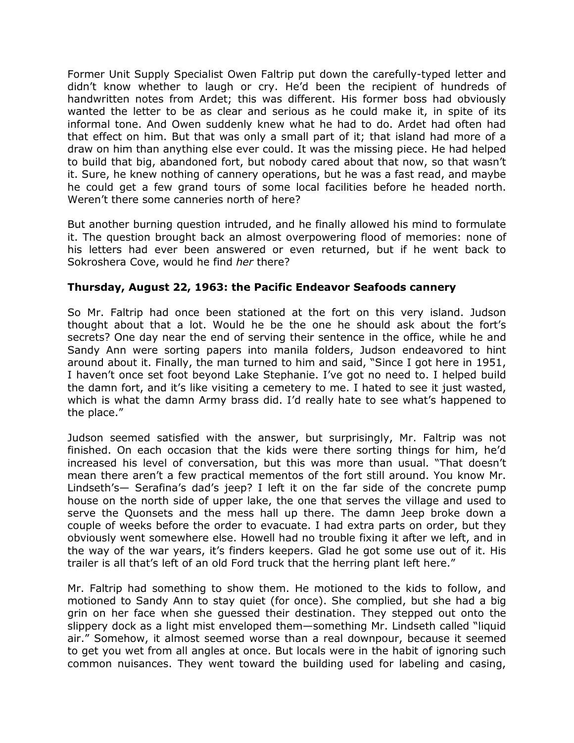Former Unit Supply Specialist Owen Faltrip put down the carefully-typed letter and didn't know whether to laugh or cry. He'd been the recipient of hundreds of handwritten notes from Ardet; this was different. His former boss had obviously wanted the letter to be as clear and serious as he could make it, in spite of its informal tone. And Owen suddenly knew what he had to do. Ardet had often had that effect on him. But that was only a small part of it; that island had more of a draw on him than anything else ever could. It was the missing piece. He had helped to build that big, abandoned fort, but nobody cared about that now, so that wasn't it. Sure, he knew nothing of cannery operations, but he was a fast read, and maybe he could get a few grand tours of some local facilities before he headed north. Weren't there some canneries north of here?

But another burning question intruded, and he finally allowed his mind to formulate it. The question brought back an almost overpowering flood of memories: none of his letters had ever been answered or even returned, but if he went back to Sokroshera Cove, would he find *her* there?

### **Thursday, August 22, 1963: the Pacific Endeavor Seafoods cannery**

So Mr. Faltrip had once been stationed at the fort on this very island. Judson thought about that a lot. Would he be the one he should ask about the fort's secrets? One day near the end of serving their sentence in the office, while he and Sandy Ann were sorting papers into manila folders, Judson endeavored to hint around about it. Finally, the man turned to him and said, "Since I got here in 1951, I haven't once set foot beyond Lake Stephanie. I've got no need to. I helped build the damn fort, and it's like visiting a cemetery to me. I hated to see it just wasted, which is what the damn Army brass did. I'd really hate to see what's happened to the place."

Judson seemed satisfied with the answer, but surprisingly, Mr. Faltrip was not finished. On each occasion that the kids were there sorting things for him, he'd increased his level of conversation, but this was more than usual. "That doesn't mean there aren't a few practical mementos of the fort still around. You know Mr. Lindseth's— Serafina's dad's jeep? I left it on the far side of the concrete pump house on the north side of upper lake, the one that serves the village and used to serve the Quonsets and the mess hall up there. The damn Jeep broke down a couple of weeks before the order to evacuate. I had extra parts on order, but they obviously went somewhere else. Howell had no trouble fixing it after we left, and in the way of the war years, it's finders keepers. Glad he got some use out of it. His trailer is all that's left of an old Ford truck that the herring plant left here."

Mr. Faltrip had something to show them. He motioned to the kids to follow, and motioned to Sandy Ann to stay quiet (for once). She complied, but she had a big grin on her face when she guessed their destination. They stepped out onto the slippery dock as a light mist enveloped them—something Mr. Lindseth called "liquid air." Somehow, it almost seemed worse than a real downpour, because it seemed to get you wet from all angles at once. But locals were in the habit of ignoring such common nuisances. They went toward the building used for labeling and casing,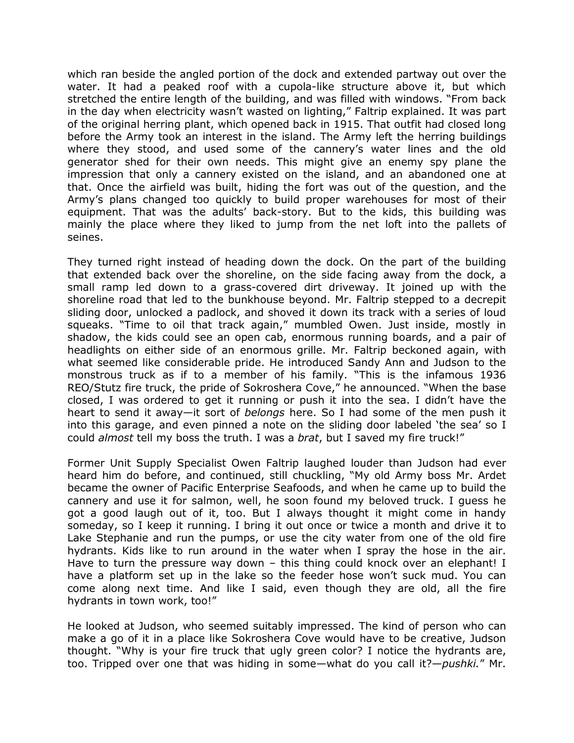which ran beside the angled portion of the dock and extended partway out over the water. It had a peaked roof with a cupola-like structure above it, but which stretched the entire length of the building, and was filled with windows. "From back in the day when electricity wasn't wasted on lighting," Faltrip explained. It was part of the original herring plant, which opened back in 1915. That outfit had closed long before the Army took an interest in the island. The Army left the herring buildings where they stood, and used some of the cannery's water lines and the old generator shed for their own needs. This might give an enemy spy plane the impression that only a cannery existed on the island, and an abandoned one at that. Once the airfield was built, hiding the fort was out of the question, and the Army's plans changed too quickly to build proper warehouses for most of their equipment. That was the adults' back-story. But to the kids, this building was mainly the place where they liked to jump from the net loft into the pallets of seines.

They turned right instead of heading down the dock. On the part of the building that extended back over the shoreline, on the side facing away from the dock, a small ramp led down to a grass-covered dirt driveway. It joined up with the shoreline road that led to the bunkhouse beyond. Mr. Faltrip stepped to a decrepit sliding door, unlocked a padlock, and shoved it down its track with a series of loud squeaks. "Time to oil that track again," mumbled Owen. Just inside, mostly in shadow, the kids could see an open cab, enormous running boards, and a pair of headlights on either side of an enormous grille. Mr. Faltrip beckoned again, with what seemed like considerable pride. He introduced Sandy Ann and Judson to the monstrous truck as if to a member of his family. "This is the infamous 1936 REO/Stutz fire truck, the pride of Sokroshera Cove," he announced. "When the base closed, I was ordered to get it running or push it into the sea. I didn't have the heart to send it away—it sort of *belongs* here. So I had some of the men push it into this garage, and even pinned a note on the sliding door labeled 'the sea' so I could *almost* tell my boss the truth. I was a *brat*, but I saved my fire truck!"

Former Unit Supply Specialist Owen Faltrip laughed louder than Judson had ever heard him do before, and continued, still chuckling, "My old Army boss Mr. Ardet became the owner of Pacific Enterprise Seafoods, and when he came up to build the cannery and use it for salmon, well, he soon found my beloved truck. I guess he got a good laugh out of it, too. But I always thought it might come in handy someday, so I keep it running. I bring it out once or twice a month and drive it to Lake Stephanie and run the pumps, or use the city water from one of the old fire hydrants. Kids like to run around in the water when I spray the hose in the air. Have to turn the pressure way down - this thing could knock over an elephant! I have a platform set up in the lake so the feeder hose won't suck mud. You can come along next time. And like I said, even though they are old, all the fire hydrants in town work, too!"

He looked at Judson, who seemed suitably impressed. The kind of person who can make a go of it in a place like Sokroshera Cove would have to be creative, Judson thought. "Why is your fire truck that ugly green color? I notice the hydrants are, too. Tripped over one that was hiding in some—what do you call it?—*pushki.*" Mr.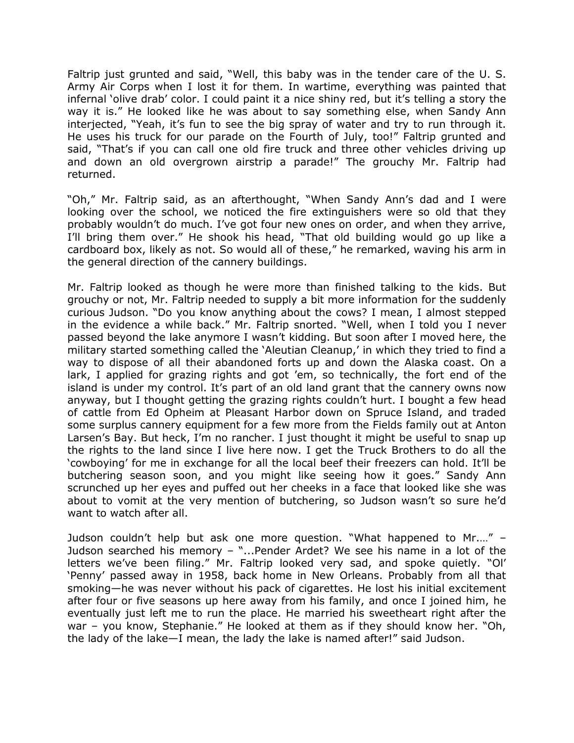Faltrip just grunted and said, "Well, this baby was in the tender care of the U. S. Army Air Corps when I lost it for them. In wartime, everything was painted that infernal 'olive drab' color. I could paint it a nice shiny red, but it's telling a story the way it is." He looked like he was about to say something else, when Sandy Ann interjected, "Yeah, it's fun to see the big spray of water and try to run through it. He uses his truck for our parade on the Fourth of July, too!" Faltrip grunted and said, "That's if you can call one old fire truck and three other vehicles driving up and down an old overgrown airstrip a parade!" The grouchy Mr. Faltrip had returned.

"Oh," Mr. Faltrip said, as an afterthought, "When Sandy Ann's dad and I were looking over the school, we noticed the fire extinguishers were so old that they probably wouldn't do much. I've got four new ones on order, and when they arrive, I'll bring them over." He shook his head, "That old building would go up like a cardboard box, likely as not. So would all of these," he remarked, waving his arm in the general direction of the cannery buildings.

Mr. Faltrip looked as though he were more than finished talking to the kids. But grouchy or not, Mr. Faltrip needed to supply a bit more information for the suddenly curious Judson. "Do you know anything about the cows? I mean, I almost stepped in the evidence a while back." Mr. Faltrip snorted. "Well, when I told you I never passed beyond the lake anymore I wasn't kidding. But soon after I moved here, the military started something called the 'Aleutian Cleanup,' in which they tried to find a way to dispose of all their abandoned forts up and down the Alaska coast. On a lark, I applied for grazing rights and got 'em, so technically, the fort end of the island is under my control. It's part of an old land grant that the cannery owns now anyway, but I thought getting the grazing rights couldn't hurt. I bought a few head of cattle from Ed Opheim at Pleasant Harbor down on Spruce Island, and traded some surplus cannery equipment for a few more from the Fields family out at Anton Larsen's Bay. But heck, I'm no rancher. I just thought it might be useful to snap up the rights to the land since I live here now. I get the Truck Brothers to do all the 'cowboying' for me in exchange for all the local beef their freezers can hold. It'll be butchering season soon, and you might like seeing how it goes." Sandy Ann scrunched up her eyes and puffed out her cheeks in a face that looked like she was about to vomit at the very mention of butchering, so Judson wasn't so sure he'd want to watch after all.

Judson couldn't help but ask one more question. "What happened to Mr.…" – Judson searched his memory – "...Pender Ardet? We see his name in a lot of the letters we've been filing." Mr. Faltrip looked very sad, and spoke quietly. "Ol' 'Penny' passed away in 1958, back home in New Orleans. Probably from all that smoking—he was never without his pack of cigarettes. He lost his initial excitement after four or five seasons up here away from his family, and once I joined him, he eventually just left me to run the place. He married his sweetheart right after the war – you know, Stephanie." He looked at them as if they should know her. "Oh, the lady of the lake—I mean, the lady the lake is named after!" said Judson.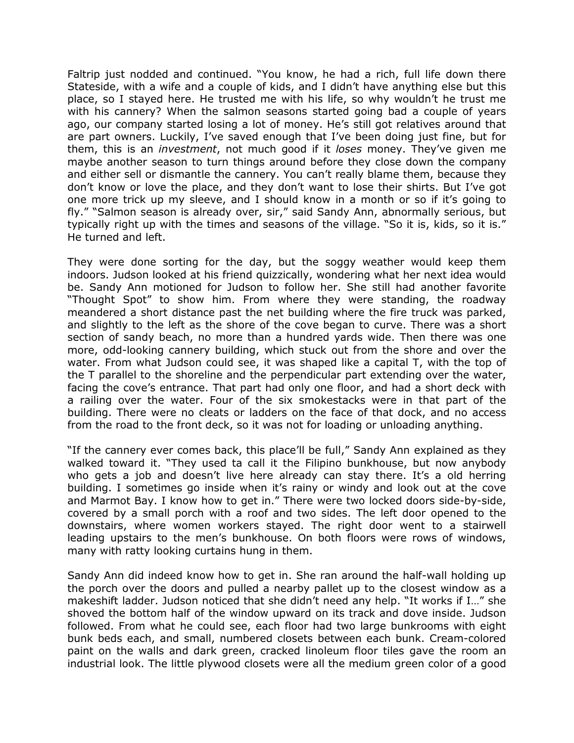Faltrip just nodded and continued. "You know, he had a rich, full life down there Stateside, with a wife and a couple of kids, and I didn't have anything else but this place, so I stayed here. He trusted me with his life, so why wouldn't he trust me with his cannery? When the salmon seasons started going bad a couple of years ago, our company started losing a lot of money. He's still got relatives around that are part owners. Luckily, I've saved enough that I've been doing just fine, but for them, this is an *investment*, not much good if it *loses* money. They've given me maybe another season to turn things around before they close down the company and either sell or dismantle the cannery. You can't really blame them, because they don't know or love the place, and they don't want to lose their shirts. But I've got one more trick up my sleeve, and I should know in a month or so if it's going to fly." "Salmon season is already over, sir," said Sandy Ann, abnormally serious, but typically right up with the times and seasons of the village. "So it is, kids, so it is." He turned and left.

They were done sorting for the day, but the soggy weather would keep them indoors. Judson looked at his friend quizzically, wondering what her next idea would be. Sandy Ann motioned for Judson to follow her. She still had another favorite "Thought Spot" to show him. From where they were standing, the roadway meandered a short distance past the net building where the fire truck was parked, and slightly to the left as the shore of the cove began to curve. There was a short section of sandy beach, no more than a hundred yards wide. Then there was one more, odd-looking cannery building, which stuck out from the shore and over the water. From what Judson could see, it was shaped like a capital T, with the top of the T parallel to the shoreline and the perpendicular part extending over the water, facing the cove's entrance. That part had only one floor, and had a short deck with a railing over the water. Four of the six smokestacks were in that part of the building. There were no cleats or ladders on the face of that dock, and no access from the road to the front deck, so it was not for loading or unloading anything.

"If the cannery ever comes back, this place'll be full," Sandy Ann explained as they walked toward it. "They used ta call it the Filipino bunkhouse, but now anybody who gets a job and doesn't live here already can stay there. It's a old herring building. I sometimes go inside when it's rainy or windy and look out at the cove and Marmot Bay. I know how to get in." There were two locked doors side-by-side, covered by a small porch with a roof and two sides. The left door opened to the downstairs, where women workers stayed. The right door went to a stairwell leading upstairs to the men's bunkhouse. On both floors were rows of windows, many with ratty looking curtains hung in them.

Sandy Ann did indeed know how to get in. She ran around the half-wall holding up the porch over the doors and pulled a nearby pallet up to the closest window as a makeshift ladder. Judson noticed that she didn't need any help. "It works if I…" she shoved the bottom half of the window upward on its track and dove inside. Judson followed. From what he could see, each floor had two large bunkrooms with eight bunk beds each, and small, numbered closets between each bunk. Cream-colored paint on the walls and dark green, cracked linoleum floor tiles gave the room an industrial look. The little plywood closets were all the medium green color of a good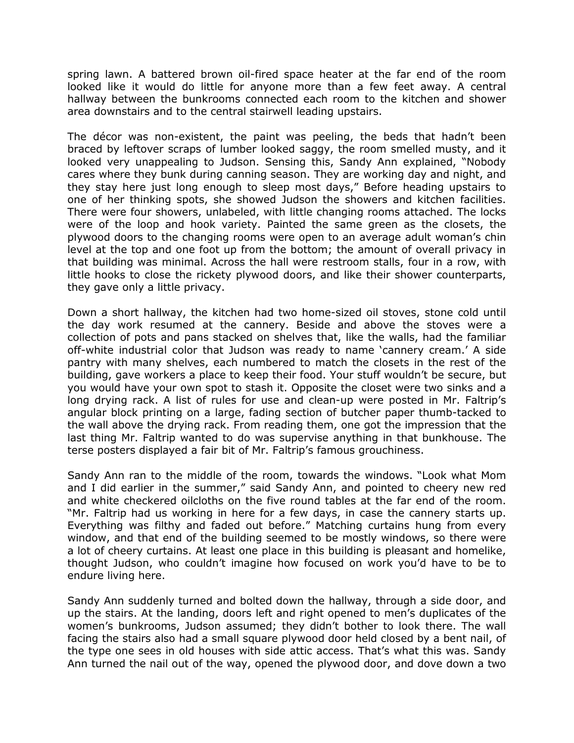spring lawn. A battered brown oil-fired space heater at the far end of the room looked like it would do little for anyone more than a few feet away. A central hallway between the bunkrooms connected each room to the kitchen and shower area downstairs and to the central stairwell leading upstairs.

The décor was non-existent, the paint was peeling, the beds that hadn't been braced by leftover scraps of lumber looked saggy, the room smelled musty, and it looked very unappealing to Judson. Sensing this, Sandy Ann explained, "Nobody cares where they bunk during canning season. They are working day and night, and they stay here just long enough to sleep most days," Before heading upstairs to one of her thinking spots, she showed Judson the showers and kitchen facilities. There were four showers, unlabeled, with little changing rooms attached. The locks were of the loop and hook variety. Painted the same green as the closets, the plywood doors to the changing rooms were open to an average adult woman's chin level at the top and one foot up from the bottom; the amount of overall privacy in that building was minimal. Across the hall were restroom stalls, four in a row, with little hooks to close the rickety plywood doors, and like their shower counterparts, they gave only a little privacy.

Down a short hallway, the kitchen had two home-sized oil stoves, stone cold until the day work resumed at the cannery. Beside and above the stoves were a collection of pots and pans stacked on shelves that, like the walls, had the familiar off-white industrial color that Judson was ready to name 'cannery cream.' A side pantry with many shelves, each numbered to match the closets in the rest of the building, gave workers a place to keep their food. Your stuff wouldn't be secure, but you would have your own spot to stash it. Opposite the closet were two sinks and a long drying rack. A list of rules for use and clean-up were posted in Mr. Faltrip's angular block printing on a large, fading section of butcher paper thumb-tacked to the wall above the drying rack. From reading them, one got the impression that the last thing Mr. Faltrip wanted to do was supervise anything in that bunkhouse. The terse posters displayed a fair bit of Mr. Faltrip's famous grouchiness.

Sandy Ann ran to the middle of the room, towards the windows. "Look what Mom and I did earlier in the summer," said Sandy Ann, and pointed to cheery new red and white checkered oilcloths on the five round tables at the far end of the room. "Mr. Faltrip had us working in here for a few days, in case the cannery starts up. Everything was filthy and faded out before." Matching curtains hung from every window, and that end of the building seemed to be mostly windows, so there were a lot of cheery curtains. At least one place in this building is pleasant and homelike, thought Judson, who couldn't imagine how focused on work you'd have to be to endure living here.

Sandy Ann suddenly turned and bolted down the hallway, through a side door, and up the stairs. At the landing, doors left and right opened to men's duplicates of the women's bunkrooms, Judson assumed; they didn't bother to look there. The wall facing the stairs also had a small square plywood door held closed by a bent nail, of the type one sees in old houses with side attic access. That's what this was. Sandy Ann turned the nail out of the way, opened the plywood door, and dove down a two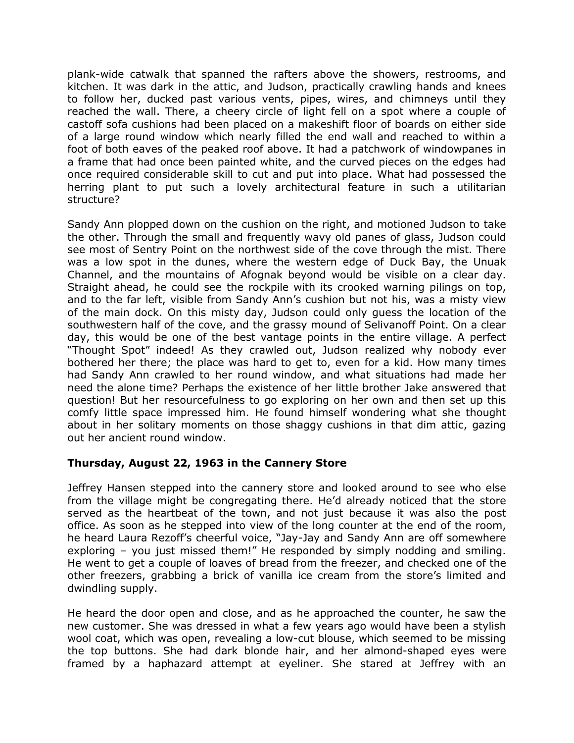plank-wide catwalk that spanned the rafters above the showers, restrooms, and kitchen. It was dark in the attic, and Judson, practically crawling hands and knees to follow her, ducked past various vents, pipes, wires, and chimneys until they reached the wall. There, a cheery circle of light fell on a spot where a couple of castoff sofa cushions had been placed on a makeshift floor of boards on either side of a large round window which nearly filled the end wall and reached to within a foot of both eaves of the peaked roof above. It had a patchwork of windowpanes in a frame that had once been painted white, and the curved pieces on the edges had once required considerable skill to cut and put into place. What had possessed the herring plant to put such a lovely architectural feature in such a utilitarian structure?

Sandy Ann plopped down on the cushion on the right, and motioned Judson to take the other. Through the small and frequently wavy old panes of glass, Judson could see most of Sentry Point on the northwest side of the cove through the mist. There was a low spot in the dunes, where the western edge of Duck Bay, the Unuak Channel, and the mountains of Afognak beyond would be visible on a clear day. Straight ahead, he could see the rockpile with its crooked warning pilings on top, and to the far left, visible from Sandy Ann's cushion but not his, was a misty view of the main dock. On this misty day, Judson could only guess the location of the southwestern half of the cove, and the grassy mound of Selivanoff Point. On a clear day, this would be one of the best vantage points in the entire village. A perfect "Thought Spot" indeed! As they crawled out, Judson realized why nobody ever bothered her there; the place was hard to get to, even for a kid. How many times had Sandy Ann crawled to her round window, and what situations had made her need the alone time? Perhaps the existence of her little brother Jake answered that question! But her resourcefulness to go exploring on her own and then set up this comfy little space impressed him. He found himself wondering what she thought about in her solitary moments on those shaggy cushions in that dim attic, gazing out her ancient round window.

# **Thursday, August 22, 1963 in the Cannery Store**

Jeffrey Hansen stepped into the cannery store and looked around to see who else from the village might be congregating there. He'd already noticed that the store served as the heartbeat of the town, and not just because it was also the post office. As soon as he stepped into view of the long counter at the end of the room, he heard Laura Rezoff's cheerful voice, "Jay-Jay and Sandy Ann are off somewhere exploring – you just missed them!" He responded by simply nodding and smiling. He went to get a couple of loaves of bread from the freezer, and checked one of the other freezers, grabbing a brick of vanilla ice cream from the store's limited and dwindling supply.

He heard the door open and close, and as he approached the counter, he saw the new customer. She was dressed in what a few years ago would have been a stylish wool coat, which was open, revealing a low-cut blouse, which seemed to be missing the top buttons. She had dark blonde hair, and her almond-shaped eyes were framed by a haphazard attempt at eyeliner. She stared at Jeffrey with an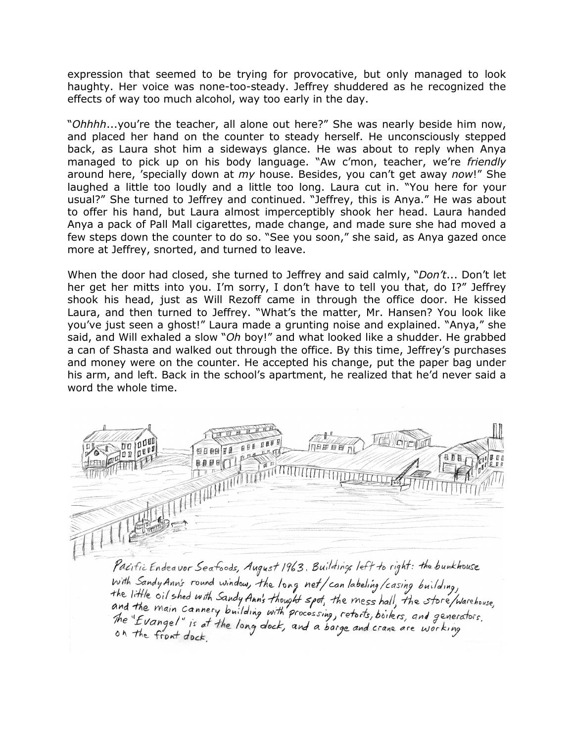expression that seemed to be trying for provocative, but only managed to look haughty. Her voice was none-too-steady. Jeffrey shuddered as he recognized the effects of way too much alcohol, way too early in the day.

"*Ohhhh*...you're the teacher, all alone out here?" She was nearly beside him now, and placed her hand on the counter to steady herself. He unconsciously stepped back, as Laura shot him a sideways glance. He was about to reply when Anya managed to pick up on his body language. "Aw c'mon, teacher, we're *friendly* around here, 'specially down at *my* house. Besides, you can't get away *now*!" She laughed a little too loudly and a little too long. Laura cut in. "You here for your usual?" She turned to Jeffrey and continued. "Jeffrey, this is Anya." He was about to offer his hand, but Laura almost imperceptibly shook her head. Laura handed Anya a pack of Pall Mall cigarettes, made change, and made sure she had moved a few steps down the counter to do so. "See you soon," she said, as Anya gazed once more at Jeffrey, snorted, and turned to leave.

When the door had closed, she turned to Jeffrey and said calmly, "*Don't*... Don't let her get her mitts into you. I'm sorry, I don't have to tell you that, do I?" Jeffrey shook his head, just as Will Rezoff came in through the office door. He kissed Laura, and then turned to Jeffrey. "What's the matter, Mr. Hansen? You look like you've just seen a ghost!" Laura made a grunting noise and explained. "Anya," she said, and Will exhaled a slow "*Oh* boy!" and what looked like a shudder. He grabbed a can of Shasta and walked out through the office. By this time, Jeffrey's purchases and money were on the counter. He accepted his change, put the paper bag under his arm, and left. Back in the school's apartment, he realized that he'd never said a word the whole time.



Pacific Endeavor Seafoods, August 1963. Buildings left to right: the bunkhouse with Sandy Ann's round window, the long net/can labeling/casing building, the little oil shed with Sandy Ann's thought spot, the mess hall, the store/warehouse,<br>and the main cannery building with processing, retorts, boilers, and generators.<br>The "Evangel" is at the long dock, and a barge and cra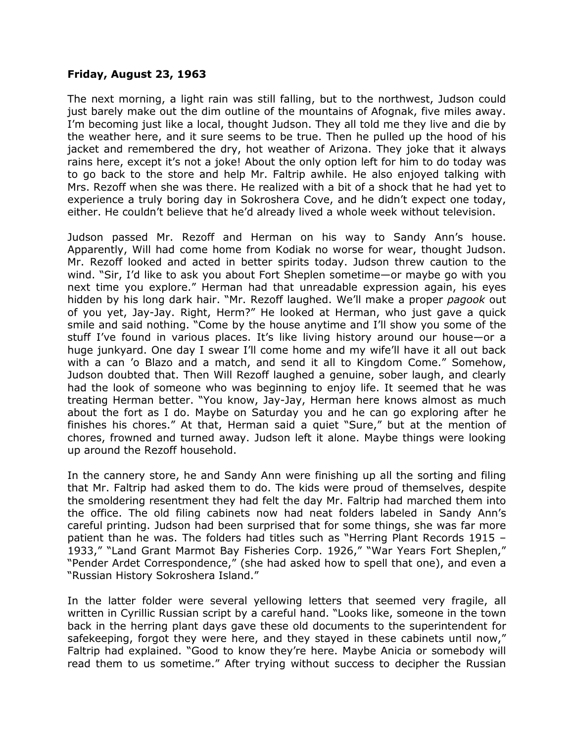### **Friday, August 23, 1963**

The next morning, a light rain was still falling, but to the northwest, Judson could just barely make out the dim outline of the mountains of Afognak, five miles away. I'm becoming just like a local, thought Judson. They all told me they live and die by the weather here, and it sure seems to be true. Then he pulled up the hood of his jacket and remembered the dry, hot weather of Arizona. They joke that it always rains here, except it's not a joke! About the only option left for him to do today was to go back to the store and help Mr. Faltrip awhile. He also enjoyed talking with Mrs. Rezoff when she was there. He realized with a bit of a shock that he had yet to experience a truly boring day in Sokroshera Cove, and he didn't expect one today, either. He couldn't believe that he'd already lived a whole week without television.

Judson passed Mr. Rezoff and Herman on his way to Sandy Ann's house. Apparently, Will had come home from Kodiak no worse for wear, thought Judson. Mr. Rezoff looked and acted in better spirits today. Judson threw caution to the wind. "Sir, I'd like to ask you about Fort Sheplen sometime—or maybe go with you next time you explore." Herman had that unreadable expression again, his eyes hidden by his long dark hair. "Mr. Rezoff laughed. We'll make a proper *pagook* out of you yet, Jay-Jay. Right, Herm?" He looked at Herman, who just gave a quick smile and said nothing. "Come by the house anytime and I'll show you some of the stuff I've found in various places. It's like living history around our house—or a huge junkyard. One day I swear I'll come home and my wife'll have it all out back with a can 'o Blazo and a match, and send it all to Kingdom Come." Somehow, Judson doubted that. Then Will Rezoff laughed a genuine, sober laugh, and clearly had the look of someone who was beginning to enjoy life. It seemed that he was treating Herman better. "You know, Jay-Jay, Herman here knows almost as much about the fort as I do. Maybe on Saturday you and he can go exploring after he finishes his chores." At that, Herman said a quiet "Sure," but at the mention of chores, frowned and turned away. Judson left it alone. Maybe things were looking up around the Rezoff household.

In the cannery store, he and Sandy Ann were finishing up all the sorting and filing that Mr. Faltrip had asked them to do. The kids were proud of themselves, despite the smoldering resentment they had felt the day Mr. Faltrip had marched them into the office. The old filing cabinets now had neat folders labeled in Sandy Ann's careful printing. Judson had been surprised that for some things, she was far more patient than he was. The folders had titles such as "Herring Plant Records 1915 – 1933," "Land Grant Marmot Bay Fisheries Corp. 1926," "War Years Fort Sheplen," "Pender Ardet Correspondence," (she had asked how to spell that one), and even a "Russian History Sokroshera Island."

In the latter folder were several yellowing letters that seemed very fragile, all written in Cyrillic Russian script by a careful hand. "Looks like, someone in the town back in the herring plant days gave these old documents to the superintendent for safekeeping, forgot they were here, and they stayed in these cabinets until now," Faltrip had explained. "Good to know they're here. Maybe Anicia or somebody will read them to us sometime." After trying without success to decipher the Russian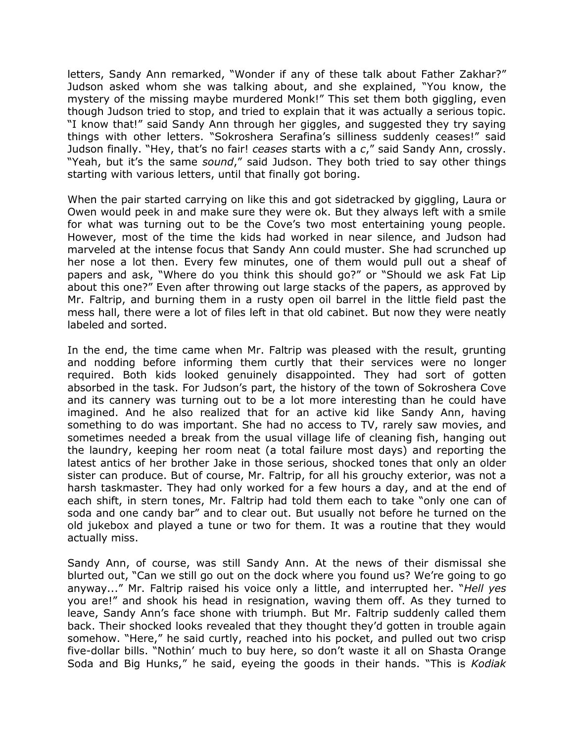letters, Sandy Ann remarked, "Wonder if any of these talk about Father Zakhar?" Judson asked whom she was talking about, and she explained, "You know, the mystery of the missing maybe murdered Monk!" This set them both giggling, even though Judson tried to stop, and tried to explain that it was actually a serious topic. "I know that!" said Sandy Ann through her giggles, and suggested they try saying things with other letters. "Sokroshera Serafina's silliness suddenly ceases!" said Judson finally. "Hey, that's no fair! *ceases* starts with a *c*," said Sandy Ann, crossly. "Yeah, but it's the same *sound*," said Judson. They both tried to say other things starting with various letters, until that finally got boring.

When the pair started carrying on like this and got sidetracked by giggling, Laura or Owen would peek in and make sure they were ok. But they always left with a smile for what was turning out to be the Cove's two most entertaining young people. However, most of the time the kids had worked in near silence, and Judson had marveled at the intense focus that Sandy Ann could muster. She had scrunched up her nose a lot then. Every few minutes, one of them would pull out a sheaf of papers and ask, "Where do you think this should go?" or "Should we ask Fat Lip about this one?" Even after throwing out large stacks of the papers, as approved by Mr. Faltrip, and burning them in a rusty open oil barrel in the little field past the mess hall, there were a lot of files left in that old cabinet. But now they were neatly labeled and sorted.

In the end, the time came when Mr. Faltrip was pleased with the result, grunting and nodding before informing them curtly that their services were no longer required. Both kids looked genuinely disappointed. They had sort of gotten absorbed in the task. For Judson's part, the history of the town of Sokroshera Cove and its cannery was turning out to be a lot more interesting than he could have imagined. And he also realized that for an active kid like Sandy Ann, having something to do was important. She had no access to TV, rarely saw movies, and sometimes needed a break from the usual village life of cleaning fish, hanging out the laundry, keeping her room neat (a total failure most days) and reporting the latest antics of her brother Jake in those serious, shocked tones that only an older sister can produce. But of course, Mr. Faltrip, for all his grouchy exterior, was not a harsh taskmaster. They had only worked for a few hours a day, and at the end of each shift, in stern tones, Mr. Faltrip had told them each to take "only one can of soda and one candy bar" and to clear out. But usually not before he turned on the old jukebox and played a tune or two for them. It was a routine that they would actually miss.

Sandy Ann, of course, was still Sandy Ann. At the news of their dismissal she blurted out, "Can we still go out on the dock where you found us? We're going to go anyway..." Mr. Faltrip raised his voice only a little, and interrupted her. "*Hell yes* you are!" and shook his head in resignation, waving them off. As they turned to leave, Sandy Ann's face shone with triumph. But Mr. Faltrip suddenly called them back. Their shocked looks revealed that they thought they'd gotten in trouble again somehow. "Here," he said curtly, reached into his pocket, and pulled out two crisp five-dollar bills. "Nothin' much to buy here, so don't waste it all on Shasta Orange Soda and Big Hunks," he said, eyeing the goods in their hands. "This is *Kodiak*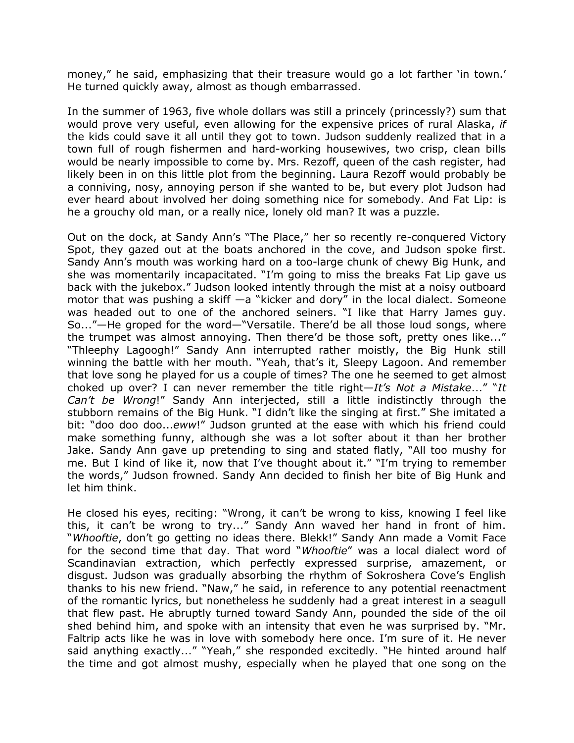money," he said, emphasizing that their treasure would go a lot farther 'in town.' He turned quickly away, almost as though embarrassed.

In the summer of 1963, five whole dollars was still a princely (princessly?) sum that would prove very useful, even allowing for the expensive prices of rural Alaska, *if* the kids could save it all until they got to town. Judson suddenly realized that in a town full of rough fishermen and hard-working housewives, two crisp, clean bills would be nearly impossible to come by. Mrs. Rezoff, queen of the cash register, had likely been in on this little plot from the beginning. Laura Rezoff would probably be a conniving, nosy, annoying person if she wanted to be, but every plot Judson had ever heard about involved her doing something nice for somebody. And Fat Lip: is he a grouchy old man, or a really nice, lonely old man? It was a puzzle.

Out on the dock, at Sandy Ann's "The Place," her so recently re-conquered Victory Spot, they gazed out at the boats anchored in the cove, and Judson spoke first. Sandy Ann's mouth was working hard on a too-large chunk of chewy Big Hunk, and she was momentarily incapacitated. "I'm going to miss the breaks Fat Lip gave us back with the jukebox." Judson looked intently through the mist at a noisy outboard motor that was pushing a skiff —a "kicker and dory" in the local dialect. Someone was headed out to one of the anchored seiners. "I like that Harry James guy. So..."—He groped for the word—"Versatile. There'd be all those loud songs, where the trumpet was almost annoying. Then there'd be those soft, pretty ones like..." "Thleephy Lagoogh!" Sandy Ann interrupted rather moistly, the Big Hunk still winning the battle with her mouth. "Yeah, that's it, Sleepy Lagoon. And remember that love song he played for us a couple of times? The one he seemed to get almost choked up over? I can never remember the title right—*It's Not a Mistake*..." "*It Can't be Wrong*!" Sandy Ann interjected, still a little indistinctly through the stubborn remains of the Big Hunk. "I didn't like the singing at first." She imitated a bit: "doo doo doo...*eww*!" Judson grunted at the ease with which his friend could make something funny, although she was a lot softer about it than her brother Jake. Sandy Ann gave up pretending to sing and stated flatly, "All too mushy for me. But I kind of like it, now that I've thought about it." "I'm trying to remember the words," Judson frowned. Sandy Ann decided to finish her bite of Big Hunk and let him think.

He closed his eyes, reciting: "Wrong, it can't be wrong to kiss, knowing I feel like this, it can't be wrong to try..." Sandy Ann waved her hand in front of him. "*Whooftie*, don't go getting no ideas there. Blekk!" Sandy Ann made a Vomit Face for the second time that day. That word "*Whooftie*" was a local dialect word of Scandinavian extraction, which perfectly expressed surprise, amazement, or disgust. Judson was gradually absorbing the rhythm of Sokroshera Cove's English thanks to his new friend. "Naw," he said, in reference to any potential reenactment of the romantic lyrics, but nonetheless he suddenly had a great interest in a seagull that flew past. He abruptly turned toward Sandy Ann, pounded the side of the oil shed behind him, and spoke with an intensity that even he was surprised by. "Mr. Faltrip acts like he was in love with somebody here once. I'm sure of it. He never said anything exactly..." "Yeah," she responded excitedly. "He hinted around half the time and got almost mushy, especially when he played that one song on the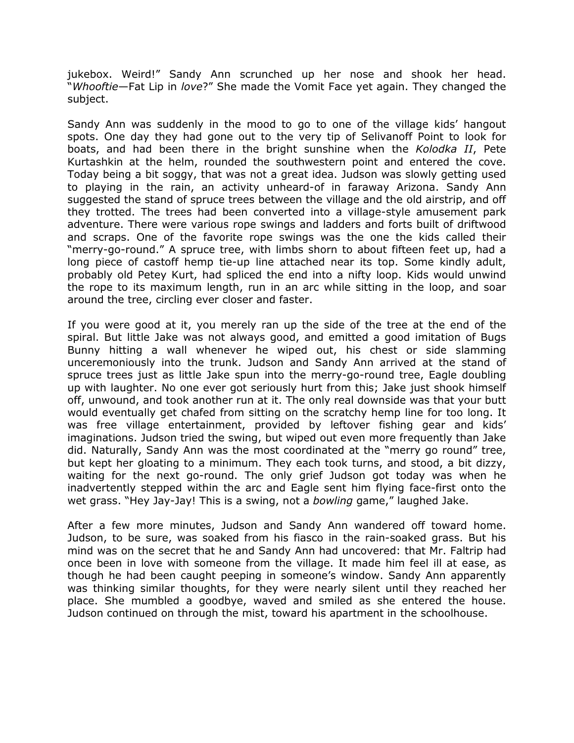jukebox. Weird!" Sandy Ann scrunched up her nose and shook her head. "*Whooftie*—Fat Lip in *love*?" She made the Vomit Face yet again. They changed the subject.

Sandy Ann was suddenly in the mood to go to one of the village kids' hangout spots. One day they had gone out to the very tip of Selivanoff Point to look for boats, and had been there in the bright sunshine when the *Kolodka II*, Pete Kurtashkin at the helm, rounded the southwestern point and entered the cove. Today being a bit soggy, that was not a great idea. Judson was slowly getting used to playing in the rain, an activity unheard-of in faraway Arizona. Sandy Ann suggested the stand of spruce trees between the village and the old airstrip, and off they trotted. The trees had been converted into a village-style amusement park adventure. There were various rope swings and ladders and forts built of driftwood and scraps. One of the favorite rope swings was the one the kids called their "merry-go-round." A spruce tree, with limbs shorn to about fifteen feet up, had a long piece of castoff hemp tie-up line attached near its top. Some kindly adult, probably old Petey Kurt, had spliced the end into a nifty loop. Kids would unwind the rope to its maximum length, run in an arc while sitting in the loop, and soar around the tree, circling ever closer and faster.

If you were good at it, you merely ran up the side of the tree at the end of the spiral. But little Jake was not always good, and emitted a good imitation of Bugs Bunny hitting a wall whenever he wiped out, his chest or side slamming unceremoniously into the trunk. Judson and Sandy Ann arrived at the stand of spruce trees just as little Jake spun into the merry-go-round tree, Eagle doubling up with laughter. No one ever got seriously hurt from this; Jake just shook himself off, unwound, and took another run at it. The only real downside was that your butt would eventually get chafed from sitting on the scratchy hemp line for too long. It was free village entertainment, provided by leftover fishing gear and kids' imaginations. Judson tried the swing, but wiped out even more frequently than Jake did. Naturally, Sandy Ann was the most coordinated at the "merry go round" tree, but kept her gloating to a minimum. They each took turns, and stood, a bit dizzy, waiting for the next go-round. The only grief Judson got today was when he inadvertently stepped within the arc and Eagle sent him flying face-first onto the wet grass. "Hey Jay-Jay! This is a swing, not a *bowling* game," laughed Jake.

After a few more minutes, Judson and Sandy Ann wandered off toward home. Judson, to be sure, was soaked from his fiasco in the rain-soaked grass. But his mind was on the secret that he and Sandy Ann had uncovered: that Mr. Faltrip had once been in love with someone from the village. It made him feel ill at ease, as though he had been caught peeping in someone's window. Sandy Ann apparently was thinking similar thoughts, for they were nearly silent until they reached her place. She mumbled a goodbye, waved and smiled as she entered the house. Judson continued on through the mist, toward his apartment in the schoolhouse.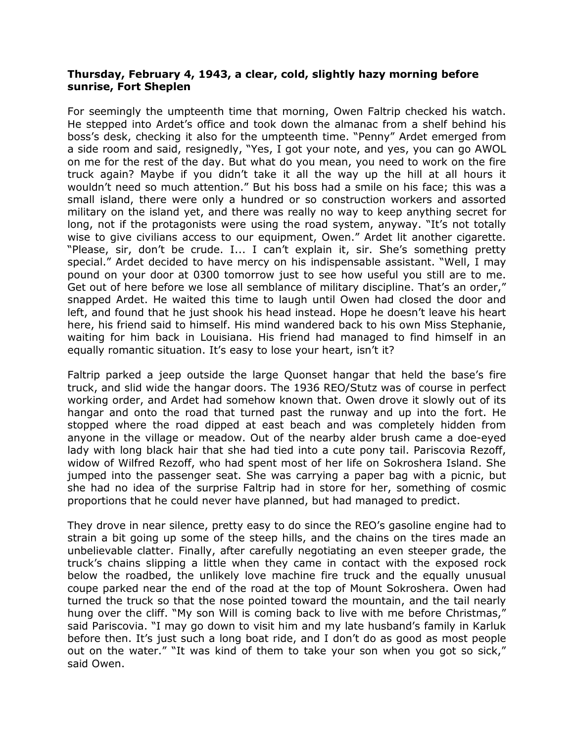#### **Thursday, February 4, 1943, a clear, cold, slightly hazy morning before sunrise, Fort Sheplen**

For seemingly the umpteenth time that morning, Owen Faltrip checked his watch. He stepped into Ardet's office and took down the almanac from a shelf behind his boss's desk, checking it also for the umpteenth time. "Penny" Ardet emerged from a side room and said, resignedly, "Yes, I got your note, and yes, you can go AWOL on me for the rest of the day. But what do you mean, you need to work on the fire truck again? Maybe if you didn't take it all the way up the hill at all hours it wouldn't need so much attention." But his boss had a smile on his face; this was a small island, there were only a hundred or so construction workers and assorted military on the island yet, and there was really no way to keep anything secret for long, not if the protagonists were using the road system, anyway. "It's not totally wise to give civilians access to our equipment, Owen." Ardet lit another cigarette. "Please, sir, don't be crude. I... I can't explain it, sir. She's something pretty special." Ardet decided to have mercy on his indispensable assistant. "Well, I may pound on your door at 0300 tomorrow just to see how useful you still are to me. Get out of here before we lose all semblance of military discipline. That's an order," snapped Ardet. He waited this time to laugh until Owen had closed the door and left, and found that he just shook his head instead. Hope he doesn't leave his heart here, his friend said to himself. His mind wandered back to his own Miss Stephanie, waiting for him back in Louisiana. His friend had managed to find himself in an equally romantic situation. It's easy to lose your heart, isn't it?

Faltrip parked a jeep outside the large Quonset hangar that held the base's fire truck, and slid wide the hangar doors. The 1936 REO/Stutz was of course in perfect working order, and Ardet had somehow known that. Owen drove it slowly out of its hangar and onto the road that turned past the runway and up into the fort. He stopped where the road dipped at east beach and was completely hidden from anyone in the village or meadow. Out of the nearby alder brush came a doe-eyed lady with long black hair that she had tied into a cute pony tail. Pariscovia Rezoff, widow of Wilfred Rezoff, who had spent most of her life on Sokroshera Island. She jumped into the passenger seat. She was carrying a paper bag with a picnic, but she had no idea of the surprise Faltrip had in store for her, something of cosmic proportions that he could never have planned, but had managed to predict.

They drove in near silence, pretty easy to do since the REO's gasoline engine had to strain a bit going up some of the steep hills, and the chains on the tires made an unbelievable clatter. Finally, after carefully negotiating an even steeper grade, the truck's chains slipping a little when they came in contact with the exposed rock below the roadbed, the unlikely love machine fire truck and the equally unusual coupe parked near the end of the road at the top of Mount Sokroshera. Owen had turned the truck so that the nose pointed toward the mountain, and the tail nearly hung over the cliff. "My son Will is coming back to live with me before Christmas," said Pariscovia. "I may go down to visit him and my late husband's family in Karluk before then. It's just such a long boat ride, and I don't do as good as most people out on the water." "It was kind of them to take your son when you got so sick," said Owen.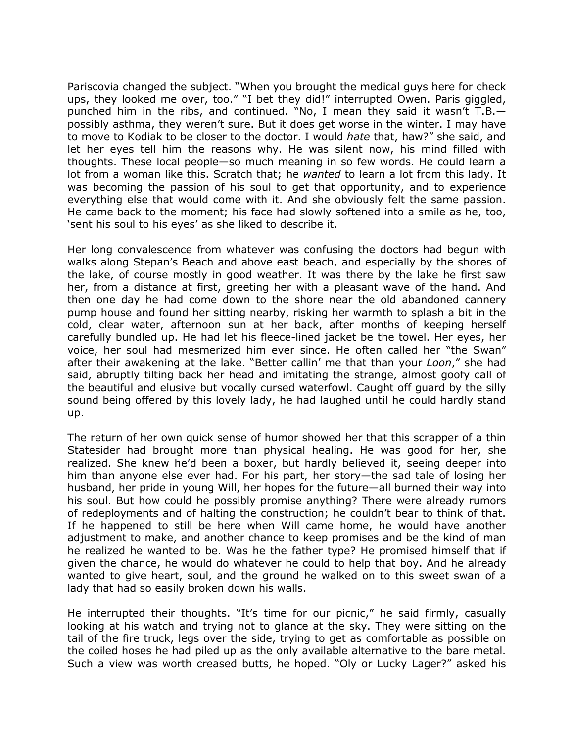Pariscovia changed the subject. "When you brought the medical guys here for check ups, they looked me over, too." "I bet they did!" interrupted Owen. Paris giggled, punched him in the ribs, and continued. "No, I mean they said it wasn't T.B. possibly asthma, they weren't sure. But it does get worse in the winter. I may have to move to Kodiak to be closer to the doctor. I would *hate* that, haw?" she said, and let her eyes tell him the reasons why. He was silent now, his mind filled with thoughts. These local people—so much meaning in so few words. He could learn a lot from a woman like this. Scratch that; he *wanted* to learn a lot from this lady. It was becoming the passion of his soul to get that opportunity, and to experience everything else that would come with it. And she obviously felt the same passion. He came back to the moment; his face had slowly softened into a smile as he, too, 'sent his soul to his eyes' as she liked to describe it.

Her long convalescence from whatever was confusing the doctors had begun with walks along Stepan's Beach and above east beach, and especially by the shores of the lake, of course mostly in good weather. It was there by the lake he first saw her, from a distance at first, greeting her with a pleasant wave of the hand. And then one day he had come down to the shore near the old abandoned cannery pump house and found her sitting nearby, risking her warmth to splash a bit in the cold, clear water, afternoon sun at her back, after months of keeping herself carefully bundled up. He had let his fleece-lined jacket be the towel. Her eyes, her voice, her soul had mesmerized him ever since. He often called her "the Swan" after their awakening at the lake. "Better callin' me that than your *Loon*," she had said, abruptly tilting back her head and imitating the strange, almost goofy call of the beautiful and elusive but vocally cursed waterfowl. Caught off guard by the silly sound being offered by this lovely lady, he had laughed until he could hardly stand up.

The return of her own quick sense of humor showed her that this scrapper of a thin Statesider had brought more than physical healing. He was good for her, she realized. She knew he'd been a boxer, but hardly believed it, seeing deeper into him than anyone else ever had. For his part, her story—the sad tale of losing her husband, her pride in young Will, her hopes for the future—all burned their way into his soul. But how could he possibly promise anything? There were already rumors of redeployments and of halting the construction; he couldn't bear to think of that. If he happened to still be here when Will came home, he would have another adjustment to make, and another chance to keep promises and be the kind of man he realized he wanted to be. Was he the father type? He promised himself that if given the chance, he would do whatever he could to help that boy. And he already wanted to give heart, soul, and the ground he walked on to this sweet swan of a lady that had so easily broken down his walls.

He interrupted their thoughts. "It's time for our picnic," he said firmly, casually looking at his watch and trying not to glance at the sky. They were sitting on the tail of the fire truck, legs over the side, trying to get as comfortable as possible on the coiled hoses he had piled up as the only available alternative to the bare metal. Such a view was worth creased butts, he hoped. "Oly or Lucky Lager?" asked his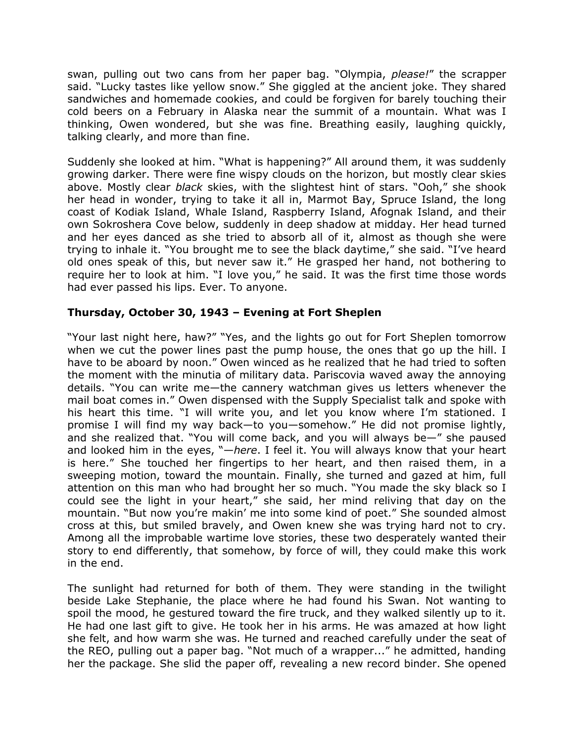swan, pulling out two cans from her paper bag. "Olympia, *please!*" the scrapper said. "Lucky tastes like yellow snow." She giggled at the ancient joke. They shared sandwiches and homemade cookies, and could be forgiven for barely touching their cold beers on a February in Alaska near the summit of a mountain. What was I thinking, Owen wondered, but she was fine. Breathing easily, laughing quickly, talking clearly, and more than fine.

Suddenly she looked at him. "What is happening?" All around them, it was suddenly growing darker. There were fine wispy clouds on the horizon, but mostly clear skies above. Mostly clear *black* skies, with the slightest hint of stars. "Ooh," she shook her head in wonder, trying to take it all in, Marmot Bay, Spruce Island, the long coast of Kodiak Island, Whale Island, Raspberry Island, Afognak Island, and their own Sokroshera Cove below, suddenly in deep shadow at midday. Her head turned and her eyes danced as she tried to absorb all of it, almost as though she were trying to inhale it. "You brought me to see the black daytime," she said. "I've heard old ones speak of this, but never saw it." He grasped her hand, not bothering to require her to look at him. "I love you," he said. It was the first time those words had ever passed his lips. Ever. To anyone.

# **Thursday, October 30, 1943 – Evening at Fort Sheplen**

"Your last night here, haw?" "Yes, and the lights go out for Fort Sheplen tomorrow when we cut the power lines past the pump house, the ones that go up the hill. I have to be aboard by noon." Owen winced as he realized that he had tried to soften the moment with the minutia of military data. Pariscovia waved away the annoying details. "You can write me—the cannery watchman gives us letters whenever the mail boat comes in." Owen dispensed with the Supply Specialist talk and spoke with his heart this time. "I will write you, and let you know where I'm stationed. I promise I will find my way back—to you—somehow." He did not promise lightly, and she realized that. "You will come back, and you will always be—" she paused and looked him in the eyes, "—*here*. I feel it. You will always know that your heart is here." She touched her fingertips to her heart, and then raised them, in a sweeping motion, toward the mountain. Finally, she turned and gazed at him, full attention on this man who had brought her so much. "You made the sky black so I could see the light in your heart," she said, her mind reliving that day on the mountain. "But now you're makin' me into some kind of poet." She sounded almost cross at this, but smiled bravely, and Owen knew she was trying hard not to cry. Among all the improbable wartime love stories, these two desperately wanted their story to end differently, that somehow, by force of will, they could make this work in the end.

The sunlight had returned for both of them. They were standing in the twilight beside Lake Stephanie, the place where he had found his Swan. Not wanting to spoil the mood, he gestured toward the fire truck, and they walked silently up to it. He had one last gift to give. He took her in his arms. He was amazed at how light she felt, and how warm she was. He turned and reached carefully under the seat of the REO, pulling out a paper bag. "Not much of a wrapper..." he admitted, handing her the package. She slid the paper off, revealing a new record binder. She opened